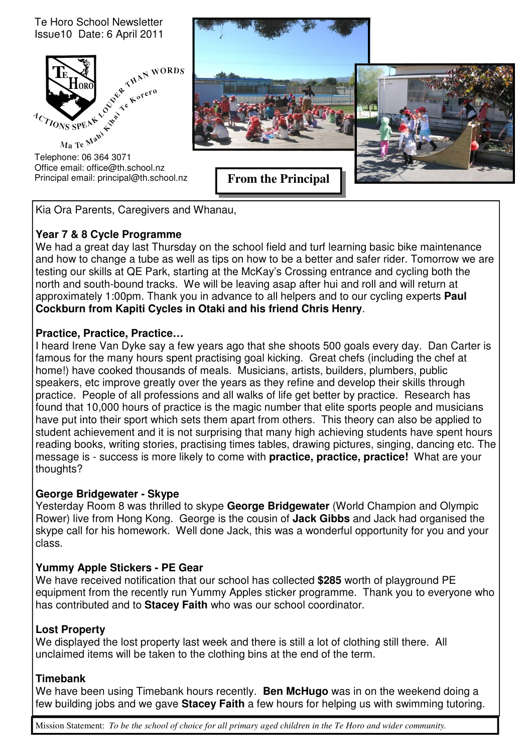Te Horo School Newsletter Issue10 Date: 6 April 2011



Office email: office@th.school.nz Principal email: principal@th.school.nz



Kia Ora Parents, Caregivers and Whanau,

# **Year 7 & 8 Cycle Programme**

We had a great day last Thursday on the school field and turf learning basic bike maintenance and how to change a tube as well as tips on how to be a better and safer rider. Tomorrow we are testing our skills at QE Park, starting at the McKay's Crossing entrance and cycling both the north and south-bound tracks. We will be leaving asap after hui and roll and will return at approximately 1:00pm. Thank you in advance to all helpers and to our cycling experts **Paul Cockburn from Kapiti Cycles in Otaki and his friend Chris Henry**.

# **Practice, Practice, Practice…**

I heard Irene Van Dyke say a few years ago that she shoots 500 goals every day. Dan Carter is famous for the many hours spent practising goal kicking. Great chefs (including the chef at home!) have cooked thousands of meals. Musicians, artists, builders, plumbers, public speakers, etc improve greatly over the years as they refine and develop their skills through practice. People of all professions and all walks of life get better by practice. Research has found that 10,000 hours of practice is the magic number that elite sports people and musicians have put into their sport which sets them apart from others. This theory can also be applied to student achievement and it is not surprising that many high achieving students have spent hours reading books, writing stories, practising times tables, drawing pictures, singing, dancing etc. The message is - success is more likely to come with **practice, practice, practice!** What are your thoughts?

# **George Bridgewater - Skype**

Yesterday Room 8 was thrilled to skype **George Bridgewater** (World Champion and Olympic Rower) live from Hong Kong. George is the cousin of **Jack Gibbs** and Jack had organised the skype call for his homework. Well done Jack, this was a wonderful opportunity for you and your class.

# **Yummy Apple Stickers - PE Gear**

We have received notification that our school has collected **\$285** worth of playground PE equipment from the recently run Yummy Apples sticker programme. Thank you to everyone who has contributed and to **Stacey Faith** who was our school coordinator.

# **Lost Property**

We displayed the lost property last week and there is still a lot of clothing still there. All unclaimed items will be taken to the clothing bins at the end of the term.

# **Timebank**

We have been using Timebank hours recently. **Ben McHugo** was in on the weekend doing a few building jobs and we gave **Stacey Faith** a few hours for helping us with swimming tutoring.

Mission Statement: *To be the school of choice for all primary aged children in the Te Horo and wider community.*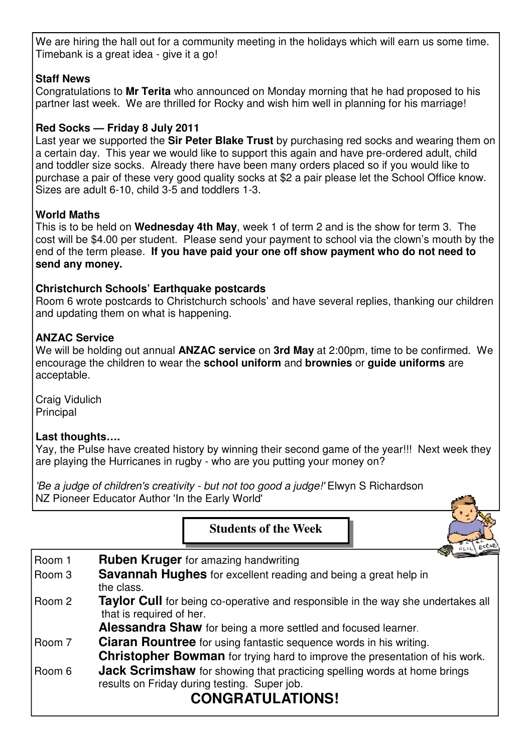We are hiring the hall out for a community meeting in the holidays which will earn us some time. Timebank is a great idea - give it a go!

# **Staff News**

Congratulations to **Mr Terita** who announced on Monday morning that he had proposed to his partner last week. We are thrilled for Rocky and wish him well in planning for his marriage!

# **Red Socks — Friday 8 July 2011**

Last year we supported the **Sir Peter Blake Trust** by purchasing red socks and wearing them on a certain day. This year we would like to support this again and have pre-ordered adult, child and toddler size socks. Already there have been many orders placed so if you would like to purchase a pair of these very good quality socks at \$2 a pair please let the School Office know. Sizes are adult 6-10, child 3-5 and toddlers 1-3.

# **World Maths**

This is to be held on **Wednesday 4th May**, week 1 of term 2 and is the show for term 3. The cost will be \$4.00 per student. Please send your payment to school via the clown's mouth by the end of the term please. **If you have paid your one off show payment who do not need to send any money.** 

# **Christchurch Schools' Earthquake postcards**

Room 6 wrote postcards to Christchurch schools' and have several replies, thanking our children and updating them on what is happening.

# **ANZAC Service**

We will be holding out annual **ANZAC service** on **3rd May** at 2:00pm, time to be confirmed. We encourage the children to wear the **school uniform** and **brownies** or **guide uniforms** are acceptable.

Craig Vidulich Principal

# **Last thoughts….**

Yay, the Pulse have created history by winning their second game of the year!!! Next week they are playing the Hurricanes in rugby - who are you putting your money on?

Ъ

'Be a judge of children's creativity - but not too good a judge!' Elwyn S Richardson NZ Pioneer Educator Author 'In the Early World'

Г

|          | <b>Students of the Week</b>                                                                                                                                |  |  |  |  |  |  |  |
|----------|------------------------------------------------------------------------------------------------------------------------------------------------------------|--|--|--|--|--|--|--|
| Room 1   | <b>Ruben Kruger</b> for amazing handwriting                                                                                                                |  |  |  |  |  |  |  |
| Room 3   | <b>Savannah Hughes</b> for excellent reading and being a great help in<br>the class.                                                                       |  |  |  |  |  |  |  |
| l Room 2 | <b>Taylor Cull</b> for being co-operative and responsible in the way she undertakes all<br>that is required of her.                                        |  |  |  |  |  |  |  |
|          | Alessandra Shaw for being a more settled and focused learner.                                                                                              |  |  |  |  |  |  |  |
| Room 7   | <b>Ciaran Rountree</b> for using fantastic sequence words in his writing.                                                                                  |  |  |  |  |  |  |  |
|          | <b>Christopher Bowman</b> for trying hard to improve the presentation of his work.                                                                         |  |  |  |  |  |  |  |
| l Room 6 | <b>Jack Scrimshaw</b> for showing that practicing spelling words at home brings<br>results on Friday during testing. Super job.<br><b>CONGRATULATIONS!</b> |  |  |  |  |  |  |  |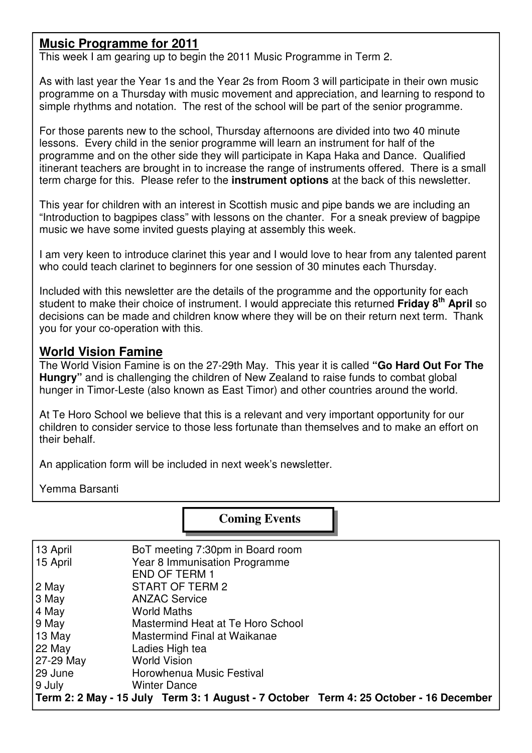# **Music Programme for 2011**

This week I am gearing up to begin the 2011 Music Programme in Term 2.

As with last year the Year 1s and the Year 2s from Room 3 will participate in their own music programme on a Thursday with music movement and appreciation, and learning to respond to simple rhythms and notation. The rest of the school will be part of the senior programme.

For those parents new to the school, Thursday afternoons are divided into two 40 minute lessons. Every child in the senior programme will learn an instrument for half of the programme and on the other side they will participate in Kapa Haka and Dance. Qualified itinerant teachers are brought in to increase the range of instruments offered. There is a small term charge for this. Please refer to the **instrument options** at the back of this newsletter.

This year for children with an interest in Scottish music and pipe bands we are including an "Introduction to bagpipes class" with lessons on the chanter. For a sneak preview of bagpipe music we have some invited guests playing at assembly this week.

I am very keen to introduce clarinet this year and I would love to hear from any talented parent who could teach clarinet to beginners for one session of 30 minutes each Thursday.

Included with this newsletter are the details of the programme and the opportunity for each student to make their choice of instrument. I would appreciate this returned **Friday 8th April** so decisions can be made and children know where they will be on their return next term. Thank you for your co-operation with this.

# **World Vision Famine**

The World Vision Famine is on the 27-29th May. This year it is called **"Go Hard Out For The Hungry"** and is challenging the children of New Zealand to raise funds to combat global hunger in Timor-Leste (also known as East Timor) and other countries around the world.

At Te Horo School we believe that this is a relevant and very important opportunity for our children to consider service to those less fortunate than themselves and to make an effort on their behalf.

An application form will be included in next week's newsletter.

Yemma Barsanti

 **Coming Events** 

| 13 April  | BoT meeting 7:30pm in Board room                                                      |
|-----------|---------------------------------------------------------------------------------------|
| 15 April  | Year 8 Immunisation Programme                                                         |
|           | <b>END OF TERM 1</b>                                                                  |
| 2 May     | START OF TERM 2                                                                       |
| 3 May     | <b>ANZAC Service</b>                                                                  |
| 4 May     | <b>World Maths</b>                                                                    |
| 9 May     | Mastermind Heat at Te Horo School                                                     |
| 13 May    | Mastermind Final at Waikanae                                                          |
| 22 May    | Ladies High tea                                                                       |
| 27-29 May | <b>World Vision</b>                                                                   |
| 129 June  | Horowhenua Music Festival                                                             |
| 9 July    | <b>Winter Dance</b>                                                                   |
|           | Term 2: 2 May - 15 July Term 3: 1 August - 7 October Term 4: 25 October - 16 December |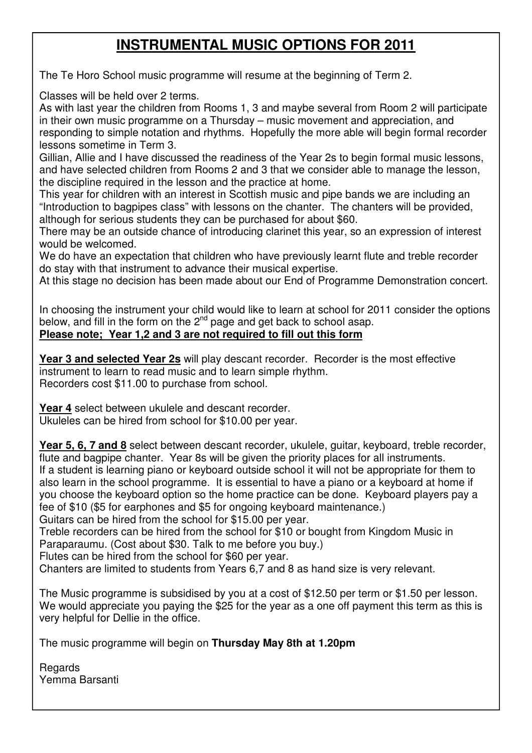# **INSTRUMENTAL MUSIC OPTIONS FOR 2011**

The Te Horo School music programme will resume at the beginning of Term 2.

Classes will be held over 2 terms.

As with last year the children from Rooms 1, 3 and maybe several from Room 2 will participate in their own music programme on a Thursday – music movement and appreciation, and responding to simple notation and rhythms. Hopefully the more able will begin formal recorder lessons sometime in Term 3.

Gillian, Allie and I have discussed the readiness of the Year 2s to begin formal music lessons, and have selected children from Rooms 2 and 3 that we consider able to manage the lesson, the discipline required in the lesson and the practice at home.

This year for children with an interest in Scottish music and pipe bands we are including an "Introduction to bagpipes class" with lessons on the chanter. The chanters will be provided, although for serious students they can be purchased for about \$60.

There may be an outside chance of introducing clarinet this year, so an expression of interest would be welcomed.

We do have an expectation that children who have previously learnt flute and treble recorder do stay with that instrument to advance their musical expertise.

At this stage no decision has been made about our End of Programme Demonstration concert.

In choosing the instrument your child would like to learn at school for 2011 consider the options below, and fill in the form on the  $2<sup>nd</sup>$  page and get back to school asap. **Please note; Year 1,2 and 3 are not required to fill out this form**

Year 3 and selected Year 2s will play descant recorder. Recorder is the most effective instrument to learn to read music and to learn simple rhythm. Recorders cost \$11.00 to purchase from school.

**Year 4** select between ukulele and descant recorder. Ukuleles can be hired from school for \$10.00 per year.

**Year 5, 6, 7 and 8** select between descant recorder, ukulele, guitar, keyboard, treble recorder, flute and bagpipe chanter. Year 8s will be given the priority places for all instruments. If a student is learning piano or keyboard outside school it will not be appropriate for them to also learn in the school programme. It is essential to have a piano or a keyboard at home if you choose the keyboard option so the home practice can be done. Keyboard players pay a fee of \$10 (\$5 for earphones and \$5 for ongoing keyboard maintenance.)

Guitars can be hired from the school for \$15.00 per year.

Treble recorders can be hired from the school for \$10 or bought from Kingdom Music in Paraparaumu. (Cost about \$30. Talk to me before you buy.)

Flutes can be hired from the school for \$60 per year.

Chanters are limited to students from Years 6,7 and 8 as hand size is very relevant.

The Music programme is subsidised by you at a cost of \$12.50 per term or \$1.50 per lesson. We would appreciate you paying the \$25 for the year as a one off payment this term as this is very helpful for Dellie in the office.

The music programme will begin on **Thursday May 8th at 1.20pm** 

**Regards** Yemma Barsanti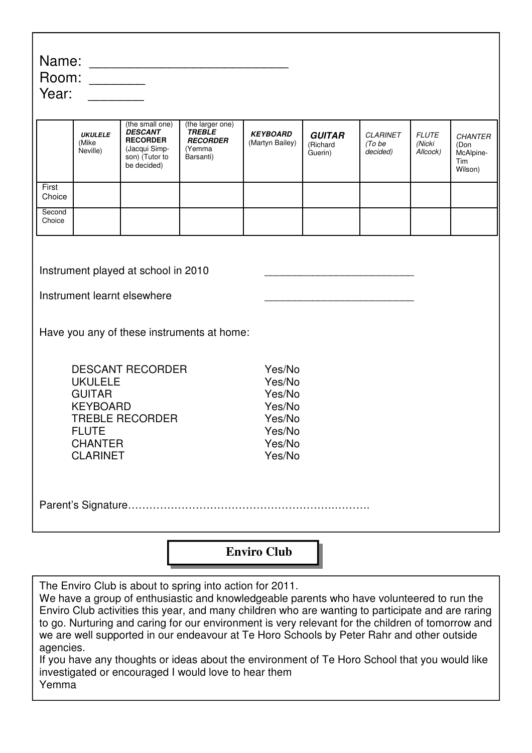| Name:<br>Room:<br>Year:                                                                                                                                                                                                                                                                                                                                                                                                                                                                                                                                                                                                                     |                                     |                                                                                                        |                                                                             |                                    |                                      |                                       |                                    |                                                       |  |  |  |
|---------------------------------------------------------------------------------------------------------------------------------------------------------------------------------------------------------------------------------------------------------------------------------------------------------------------------------------------------------------------------------------------------------------------------------------------------------------------------------------------------------------------------------------------------------------------------------------------------------------------------------------------|-------------------------------------|--------------------------------------------------------------------------------------------------------|-----------------------------------------------------------------------------|------------------------------------|--------------------------------------|---------------------------------------|------------------------------------|-------------------------------------------------------|--|--|--|
|                                                                                                                                                                                                                                                                                                                                                                                                                                                                                                                                                                                                                                             | <b>UKULELE</b><br>(Mike<br>Neville) | (the small one)<br><b>DESCANT</b><br><b>RECORDER</b><br>(Jacqui Simp-<br>son) (Tutor to<br>be decided) | (the larger one)<br><b>TREBLE</b><br><b>RECORDER</b><br>(Yemma<br>Barsanti) | <b>KEYBOARD</b><br>(Martyn Bailey) | <b>GUITAR</b><br>(Richard<br>Guerin) | <b>CLARINET</b><br>(To be<br>decided) | <b>FLUTE</b><br>(Nicki<br>Allcock) | <b>CHANTER</b><br>(Don<br>McAlpine-<br>Tim<br>Wilson) |  |  |  |
| First<br>Choice                                                                                                                                                                                                                                                                                                                                                                                                                                                                                                                                                                                                                             |                                     |                                                                                                        |                                                                             |                                    |                                      |                                       |                                    |                                                       |  |  |  |
| Second<br>Choice                                                                                                                                                                                                                                                                                                                                                                                                                                                                                                                                                                                                                            |                                     |                                                                                                        |                                                                             |                                    |                                      |                                       |                                    |                                                       |  |  |  |
| Instrument played at school in 2010<br>Instrument learnt elsewhere<br>Have you any of these instruments at home:<br><b>DESCANT RECORDER</b><br>Yes/No<br><b>UKULELE</b><br>Yes/No<br><b>GUITAR</b><br>Yes/No<br><b>KEYBOARD</b><br>Yes/No<br><b>TREBLE RECORDER</b><br>Yes/No<br><b>FLUTE</b><br>Yes/No<br><b>CHANTER</b><br>Yes/No<br><b>CLARINET</b><br>Yes/No                                                                                                                                                                                                                                                                            |                                     |                                                                                                        |                                                                             |                                    |                                      |                                       |                                    |                                                       |  |  |  |
|                                                                                                                                                                                                                                                                                                                                                                                                                                                                                                                                                                                                                                             |                                     |                                                                                                        |                                                                             |                                    |                                      |                                       |                                    |                                                       |  |  |  |
| <b>Enviro Club</b>                                                                                                                                                                                                                                                                                                                                                                                                                                                                                                                                                                                                                          |                                     |                                                                                                        |                                                                             |                                    |                                      |                                       |                                    |                                                       |  |  |  |
| The Enviro Club is about to spring into action for 2011.<br>We have a group of enthusiastic and knowledgeable parents who have volunteered to run the<br>Enviro Club activities this year, and many children who are wanting to participate and are raring<br>to go. Nurturing and caring for our environment is very relevant for the children of tomorrow and<br>we are well supported in our endeavour at Te Horo Schools by Peter Rahr and other outside<br>agencies.<br>If you have any thoughts or ideas about the environment of Te Horo School that you would like<br>investigated or encouraged I would love to hear them<br>Yemma |                                     |                                                                                                        |                                                                             |                                    |                                      |                                       |                                    |                                                       |  |  |  |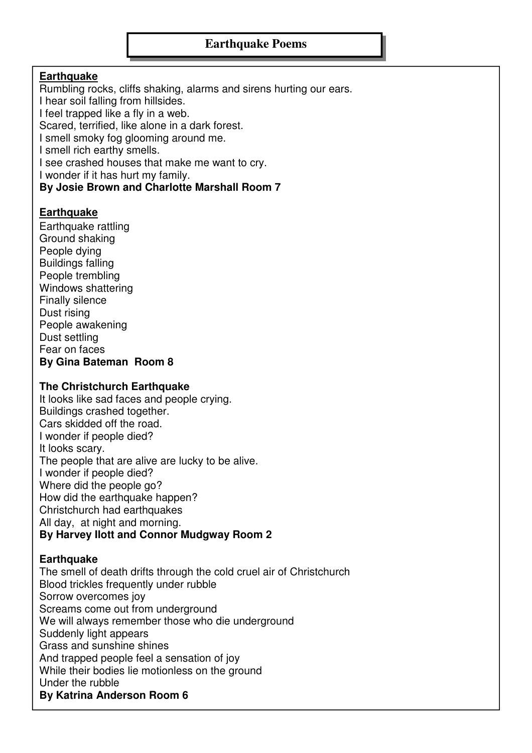### **Earthquake**

Rumbling rocks, cliffs shaking, alarms and sirens hurting our ears. I hear soil falling from hillsides. I feel trapped like a fly in a web. Scared, terrified, like alone in a dark forest. I smell smoky fog glooming around me. I smell rich earthy smells.

I see crashed houses that make me want to cry.

I wonder if it has hurt my family.

**By Josie Brown and Charlotte Marshall Room 7** 

### **Earthquake**

Earthquake rattling Ground shaking People dying Buildings falling People trembling Windows shattering Finally silence Dust rising People awakening Dust settling Fear on faces **By Gina Bateman Room 8** 

### **The Christchurch Earthquake**

It looks like sad faces and people crying. Buildings crashed together. Cars skidded off the road. I wonder if people died? It looks scary. The people that are alive are lucky to be alive. I wonder if people died? Where did the people go? How did the earthquake happen? Christchurch had earthquakes All day, at night and morning. **By Harvey Ilott and Connor Mudgway Room 2** 

### **Earthquake**

The smell of death drifts through the cold cruel air of Christchurch Blood trickles frequently under rubble Sorrow overcomes joy Screams come out from underground We will always remember those who die underground Suddenly light appears Grass and sunshine shines And trapped people feel a sensation of joy While their bodies lie motionless on the ground Under the rubble **By Katrina Anderson Room 6**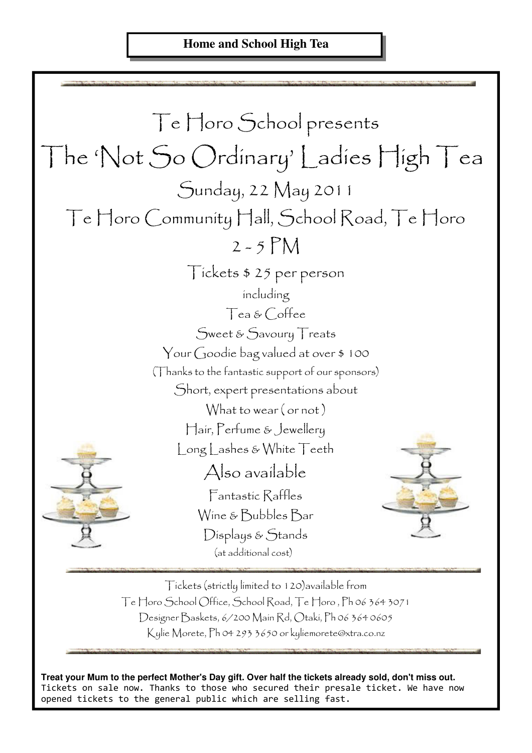

Tickets (strictly limited to 120)available from Te Horo School Office, School Road, Te Horo , Ph 06 364 3071 Designer Baskets, 6/200 Main Rd, Otaki, Ph 06 364 0605 Kylie Morete, Ph 04 293 3650 or kyliemorete@xtra.co.nz

**Treat your Mum to the perfect Mother's Day gift. Over half the tickets already sold, don't miss out.**  Tickets on sale now. Thanks to those who secured their presale ticket. We have now opened tickets to the general public which are selling fast.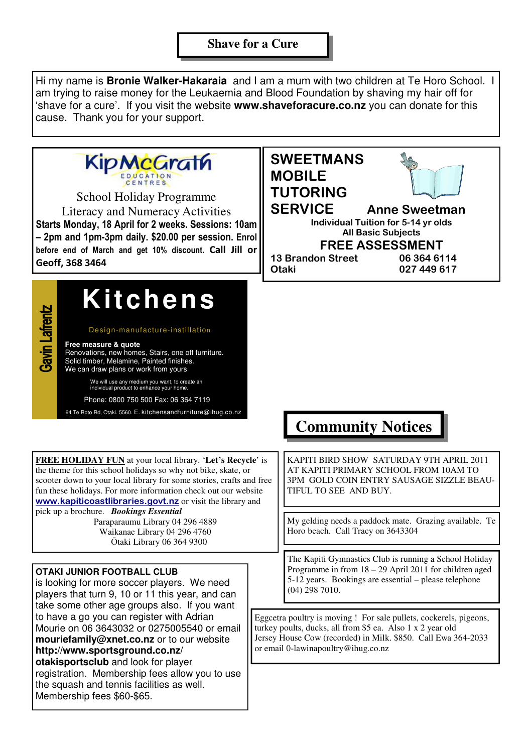### **Shave for a Cure**

Hi my name is **Bronie Walker-Hakaraia** and I am a mum with two children at Te Horo School. I am trying to raise money for the Leukaemia and Blood Foundation by shaving my hair off for 'shave for a cure'. If you visit the website **www.shaveforacure.co.nz** you can donate for this cause. Thank you for your support.

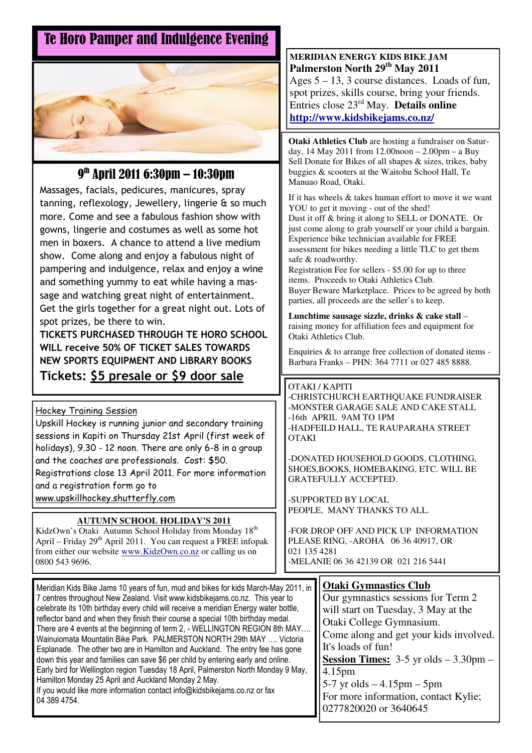# Te Horo Pamper and Indulgence Evening



# 9 th April 2011 6:30pm – 10:30pm

Massages, facials, pedicures, manicures, spray tanning, reflexology, Jewellery, lingerie & so much more. Come and see a fabulous fashion show with gowns, lingerie and costumes as well as some hot men in boxers. A chance to attend a live medium show. Come along and enjoy a fabulous night of pampering and indulgence, relax and enjoy a wine and something yummy to eat while having a massage and watching great night of entertainment. Get the girls together for a great night out. Lots of spot prizes, be there to win.

TICKETS PURCHASED THROUGH TE HORO SCHOOL WILL receive 50% OF TICKET SALES TOWARDS NEW SPORTS EQUIPMENT AND LIBRARY BOOKS Tickets: \$5 presale or \$9 door sale

### Hockey Training Session

Upskill Hockey is running junior and secondary training sessions in Kapiti on Thursday 21st April (first week of holidays), 9.30 - 12 noon. There are only 6-8 in a group and the coaches are professionals. Cost: \$50. Registrations close 13 April 2011. For more information and a registration form go to www.upskillhockey.shutterfly.com

### **AUTUMN SCHOOL HOLIDAY'S 2011**

KidzOwn's Otaki Autumn School Holiday from Monday 18<sup>th</sup> April – Friday 29<sup>th</sup> April 2011. You can request a FREE infopak from either our website www.KidzOwn.co.nz or calling us on 0800 543 9696.

#### **MERIDIAN ENERGY KIDS BIKE JAM Palmerston North 29th May 2011**

Ages  $5 - 13$ , 3 course distances. Loads of fun, spot prizes, skills course, bring your friends. Entries close 23rd May. **Details online http://www.kidsbikejams.co.nz/**

**Otaki Athletics Club** are hosting a fundraiser on Saturday, 14 May 2011 from 12.00noon – 2.00pm – a Buy Sell Donate for Bikes of all shapes & sizes, trikes, baby buggies & scooters at the Waitohu School Hall, Te Manuao Road, Otaki.

If it has wheels & takes human effort to move it we want YOU to get it moving - out of the shed! Dust it off & bring it along to SELL or DONATE. Or just come along to grab yourself or your child a bargain. Experience bike technician available for FREE assessment for bikes needing a little TLC to get them safe & roadworthy.

Registration Fee for sellers - \$5.00 for up to three items. Proceeds to Otaki Athletics Club. Buyer Beware Marketplace. Prices to be agreed by both parties, all proceeds are the seller's to keep.

**Lunchtime sausage sizzle, drinks & cake stall** – raising money for affiliation fees and equipment for Otaki Athletics Club.

Enquiries & to arrange free collection of donated items - Barbara Franks – PHN: 364 7711 or 027 485 8888.

#### OTAKI / KAPITI

-CHRISTCHURCH EARTHQUAKE FUNDRAISER -MONSTER GARAGE SALE AND CAKE STALL -16th APRIL 9AM TO 1PM -HADFEILD HALL, TE RAUPARAHA STREET **OTAKI** 

-DONATED HOUSEHOLD GOODS, CLOTHING, SHOES,BOOKS, HOMEBAKING, ETC. WILL BE GRATEFULLY ACCEPTED.

-SUPPORTED BY LOCAL PEOPLE, MANY THANKS TO ALL.

-FOR DROP OFF AND PICK UP INFORMATION PLEASE RING, -AROHA 06 36 40917, OR 021 135 4281 -MELANIE 06 36 42139 OR 021 216 5441